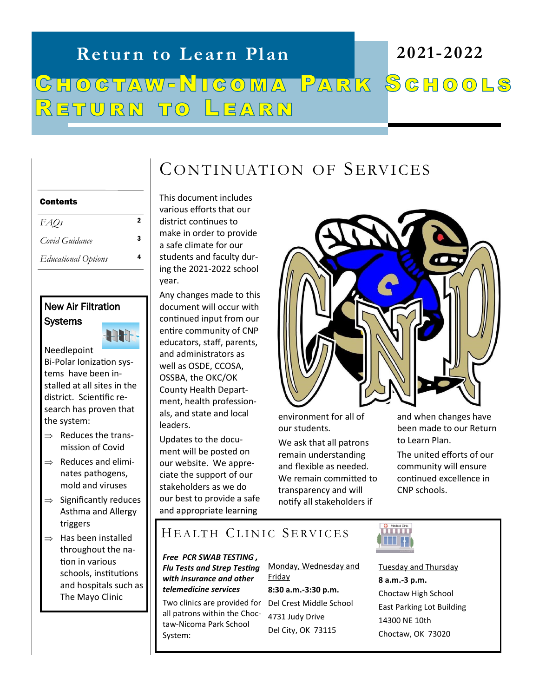# **Return to Learn Plan 2021-2022** CHOCTAW-NICOMA PARK SCHOOLS RETURN TO LEARN

# CONTINUATION OF SERVICES

#### Contents

*FAQs* <sup>2</sup>

*Covid Guidance* <sup>3</sup>

*Educational Options* <sup>4</sup>

### New Air Filtration **Systems**

स्रोत Needlepoint Bi-Polar Ionization systems have been installed at all sites in the district. Scientific research has proven that

 $\Rightarrow$  Reduces the transmission of Covid

the system:

- $\Rightarrow$  Reduces and eliminates pathogens, mold and viruses
- $\Rightarrow$  Significantly reduces Asthma and Allergy triggers
- $\Rightarrow$  Has been installed throughout the nation in various schools, institutions and hospitals such as The Mayo Clinic

This document includes various efforts that our district continues to make in order to provide a safe climate for our students and faculty during the 2021-2022 school year.

Any changes made to this document will occur with continued input from our entire community of CNP educators, staff, parents, and administrators as well as OSDE, CCOSA, OSSBA, the OKC/OK County Health Department, health professionals, and state and local leaders.

Updates to the document will be posted on our website. We appreciate the support of our stakeholders as we do our best to provide a safe and appropriate learning



environment for all of our students.

We ask that all patrons remain understanding and flexible as needed. We remain committed to transparency and will notify all stakeholders if

and when changes have been made to our Return to Learn Plan.

The united efforts of our community will ensure continued excellence in CNP schools.

# HEALTH CLINIC SERVICES

*Free PCR SWAB TESTING , Flu Tests and Strep Testing with insurance and other telemedicine services*

Two clinics are provided for Del Crest Middle School all patrons within the Choctaw-Nicoma Park School System:

Monday, Wednesday and Friday

**8:30 a.m.-3:30 p.m.** 4731 Judy Drive Del City, OK 73115



Tuesday and Thursday **8 a.m.-3 p.m.** Choctaw High School East Parking Lot Building 14300 NE 10th Choctaw, OK 73020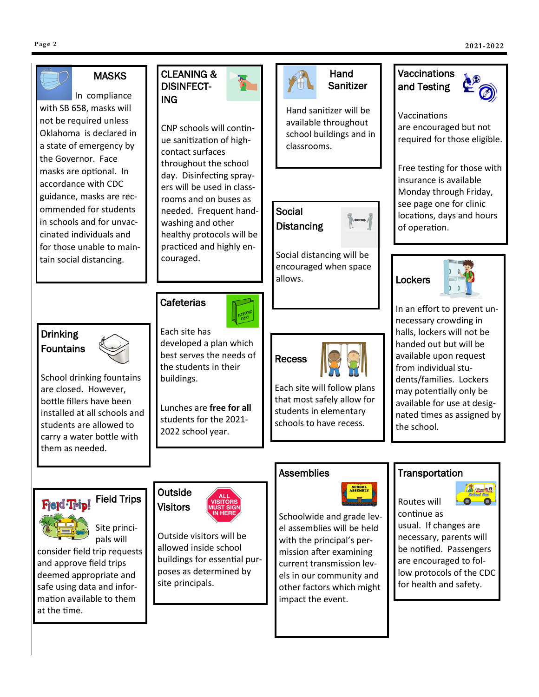mation available to them

at the time.



impact the event.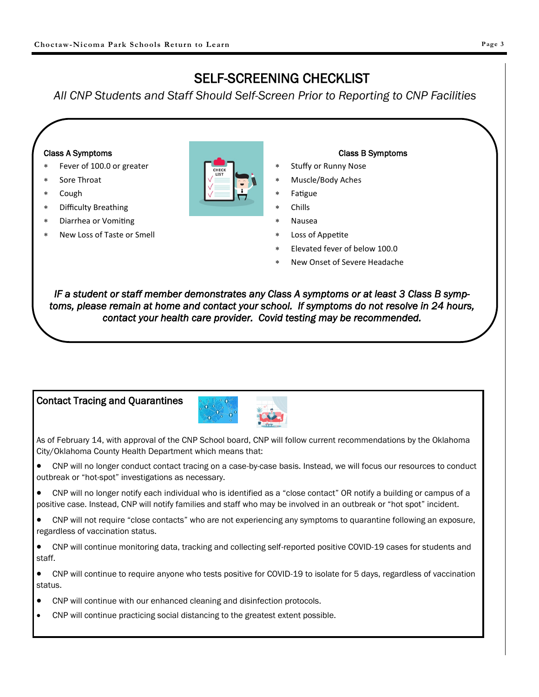# SELF-SCREENING CHECKLIST

*All CNP Students and Staff Should Self-Screen Prior to Reporting to CNP Facilities*

#### Class A Symptoms

- Fever of 100.0 or greater
- Sore Throat
- Cough
- Difficulty Breathing
- Diarrhea or Vomiting
- New Loss of Taste or Smell



#### Class B Symptoms

- Stuffy or Runny Nose
- Muscle/Body Aches
- Fatigue
- Chills
- Nausea
- Loss of Appetite
- Elevated fever of below 100.0
- New Onset of Severe Headache

*IF a student or staff member demonstrates any Class A symptoms or at least 3 Class B symptoms, please remain at home and contact your school. If symptoms do not resolve in 24 hours, contact your health care provider. Covid testing may be recommended.* 

#### Contact Tracing and Quarantines



As of February 14, with approval of the CNP School board, CNP will follow current recommendations by the Oklahoma City/Oklahoma County Health Department which means that:

• CNP will no longer conduct contact tracing on a case-by-case basis. Instead, we will focus our resources to conduct outbreak or "hot-spot" investigations as necessary.

• CNP will no longer notify each individual who is identified as a "close contact" OR notify a building or campus of a positive case. Instead, CNP will notify families and staff who may be involved in an outbreak or "hot spot" incident.

• CNP will not require "close contacts" who are not experiencing any symptoms to quarantine following an exposure, regardless of vaccination status.

• CNP will continue monitoring data, tracking and collecting self-reported positive COVID-19 cases for students and staff.

• CNP will continue to require anyone who tests positive for COVID-19 to isolate for 5 days, regardless of vaccination status.

- CNP will continue with our enhanced cleaning and disinfection protocols.
- CNP will continue practicing social distancing to the greatest extent possible.